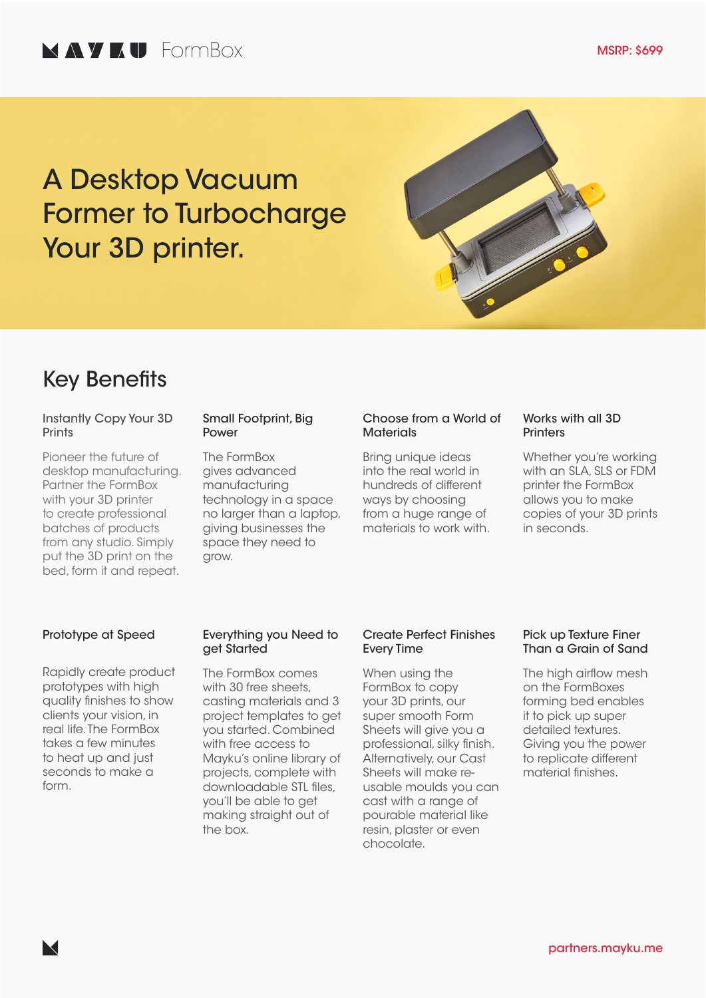# A Desktop Vacuum Former to Turbocharge Your 3D printer.



### Key Benefits

### Instantly Copy Your 3D **Prints**

Pioneer the future of desktop manufacturing. Partner the FormBox with your 3D printer to create professional batches of products from any studio. Simply put the 3D print on the bed, form it and repeat.

#### Small Footprint, Big Power

The FormBox gives advanced manufacturing technology in a space no larger than a laptop, giving businesses the space they need to grow.

### Choose from a World of **Materials**

Bring unique ideas into the real world in hundreds of different ways by choosing from a huge range of materials to work with.

### Works with all 3D **Printers**

Whether you're working with an SLA, SLS or FDM printer the FormBox allows you to make copies of your 3D prints in seconds.

### Prototype at Speed

Rapidly create product prototypes with high quality finishes to show clients your vision, in real life. The FormBox takes a few minutes to heat up and just seconds to make a form.

### Everything you Need to get Started

The FormBox comes with 30 free sheets, casting materials and 3 project templates to get you started. Combined with free access to Mayku's online library of projects, complete with downloadable STL files, you'll be able to get making straight out of the box.

### Create Perfect Finishes Every Time

When using the FormBox to copy your 3D prints, our super smooth Form Sheets will give you a professional, silky finish. Alternatively, our Cast Sheets will make reusable moulds you can cast with a range of pourable material like resin, plaster or even chocolate.

### Pick up Texture Finer Than a Grain of Sand

The high airflow mesh on the FormBoxes forming bed enables it to pick up super detailed textures. Giving you the power to replicate different material finishes.